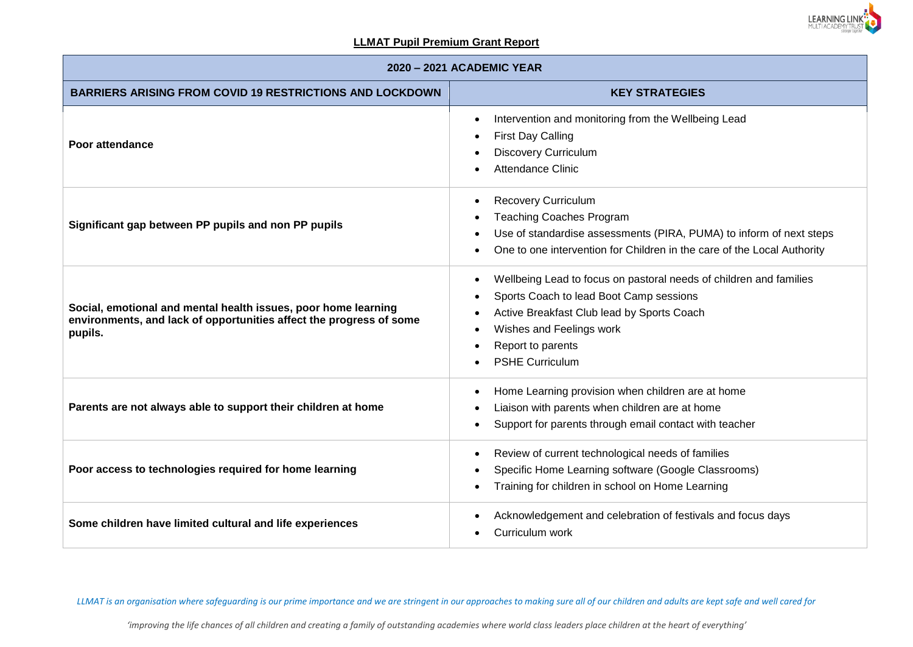

| 2020 - 2021 ACADEMIC YEAR                                                                                                                        |                                                                                                                                                                                                                                                     |  |  |  |  |  |
|--------------------------------------------------------------------------------------------------------------------------------------------------|-----------------------------------------------------------------------------------------------------------------------------------------------------------------------------------------------------------------------------------------------------|--|--|--|--|--|
| <b>BARRIERS ARISING FROM COVID 19 RESTRICTIONS AND LOCKDOWN</b>                                                                                  | <b>KEY STRATEGIES</b>                                                                                                                                                                                                                               |  |  |  |  |  |
| Poor attendance                                                                                                                                  | Intervention and monitoring from the Wellbeing Lead<br>$\bullet$<br><b>First Day Calling</b><br><b>Discovery Curriculum</b><br><b>Attendance Clinic</b>                                                                                             |  |  |  |  |  |
| Significant gap between PP pupils and non PP pupils                                                                                              | <b>Recovery Curriculum</b><br><b>Teaching Coaches Program</b><br>Use of standardise assessments (PIRA, PUMA) to inform of next steps<br>One to one intervention for Children in the care of the Local Authority                                     |  |  |  |  |  |
| Social, emotional and mental health issues, poor home learning<br>environments, and lack of opportunities affect the progress of some<br>pupils. | Wellbeing Lead to focus on pastoral needs of children and families<br>$\bullet$<br>Sports Coach to lead Boot Camp sessions<br>Active Breakfast Club lead by Sports Coach<br>Wishes and Feelings work<br>Report to parents<br><b>PSHE Curriculum</b> |  |  |  |  |  |
| Parents are not always able to support their children at home                                                                                    | Home Learning provision when children are at home<br>Liaison with parents when children are at home<br>Support for parents through email contact with teacher                                                                                       |  |  |  |  |  |
| Poor access to technologies required for home learning                                                                                           | Review of current technological needs of families<br>Specific Home Learning software (Google Classrooms)<br>Training for children in school on Home Learning                                                                                        |  |  |  |  |  |
| Some children have limited cultural and life experiences                                                                                         | Acknowledgement and celebration of festivals and focus days<br>Curriculum work                                                                                                                                                                      |  |  |  |  |  |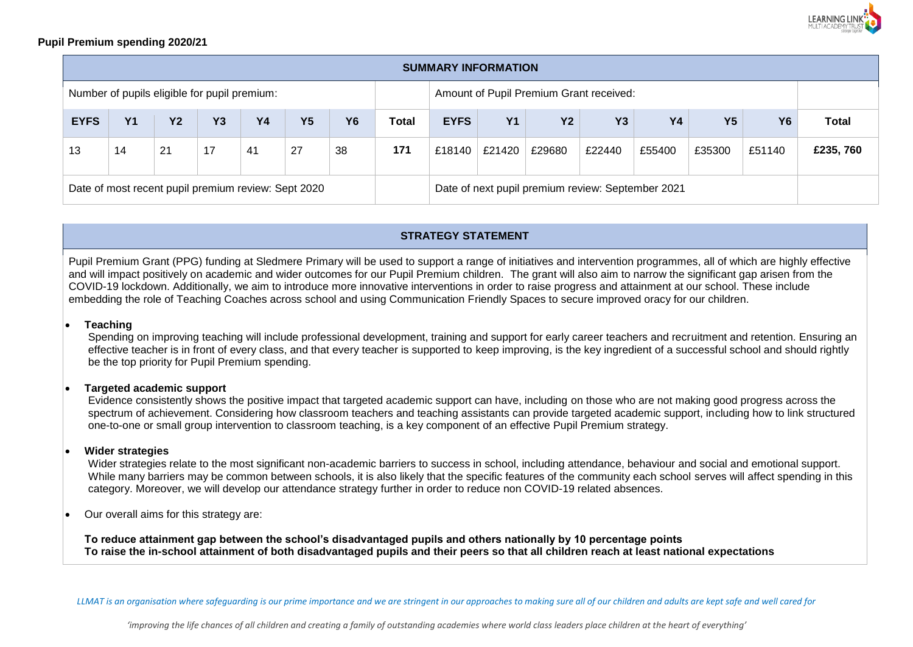

### **Pupil Premium spending 2020/21**

| <b>SUMMARY INFORMATION</b>                          |                |           |           |           |           |                                                   |              |             |           |           |           |           |                |           |              |
|-----------------------------------------------------|----------------|-----------|-----------|-----------|-----------|---------------------------------------------------|--------------|-------------|-----------|-----------|-----------|-----------|----------------|-----------|--------------|
| Number of pupils eligible for pupil premium:        |                |           |           |           |           | Amount of Pupil Premium Grant received:           |              |             |           |           |           |           |                |           |              |
| <b>EYFS</b>                                         | Y <sub>1</sub> | <b>Y2</b> | <b>Y3</b> | <b>Y4</b> | <b>Y5</b> | <b>Y6</b>                                         | <b>Total</b> | <b>EYFS</b> | <b>Y1</b> | <b>Y2</b> | <b>Y3</b> | <b>Y4</b> | Y <sub>5</sub> | <b>Y6</b> | <b>Total</b> |
| 13                                                  | 14             | 21        | 17        | 41        | 27        | 38                                                | 171          | £18140      | £21420    | £29680    | £22440    | £55400    | £35300         | £51140    | £235,760     |
| Date of most recent pupil premium review: Sept 2020 |                |           |           |           |           | Date of next pupil premium review: September 2021 |              |             |           |           |           |           |                |           |              |

## **STRATEGY STATEMENT**

Pupil Premium Grant (PPG) funding at Sledmere Primary will be used to support a range of initiatives and intervention programmes, all of which are highly effective and will impact positively on academic and wider outcomes for our Pupil Premium children. The grant will also aim to narrow the significant gap arisen from the COVID-19 lockdown. Additionally, we aim to introduce more innovative interventions in order to raise progress and attainment at our school. These include embedding the role of Teaching Coaches across school and using Communication Friendly Spaces to secure improved oracy for our children.

#### **Teaching**

Spending on improving teaching will include professional development, training and support for early career teachers and recruitment and retention. Ensuring an effective teacher is in front of every class, and that every teacher is supported to keep improving, is the key ingredient of a successful school and should rightly be the top priority for Pupil Premium spending.

#### **Targeted academic support**

Evidence consistently shows the positive impact that targeted academic support can have, including on those who are not making good progress across the spectrum of achievement. Considering how classroom teachers and teaching assistants can provide targeted academic support, including how to link structured one-to-one or small group intervention to classroom teaching, is a key component of an effective Pupil Premium strategy.

#### **Wider strategies**

Wider strategies relate to the most significant non-academic barriers to success in school, including attendance, behaviour and social and emotional support. While many barriers may be common between schools, it is also likely that the specific features of the community each school serves will affect spending in this category. Moreover, we will develop our attendance strategy further in order to reduce non COVID-19 related absences.

Our overall aims for this strategy are:

**To reduce attainment gap between the school's disadvantaged pupils and others nationally by 10 percentage points To raise the in-school attainment of both disadvantaged pupils and their peers so that all children reach at least national expectations**

*LLMAT is an organisation where safeguarding is our prime importance and we are stringent in our approaches to making sure all of our children and adults are kept safe and well cared for*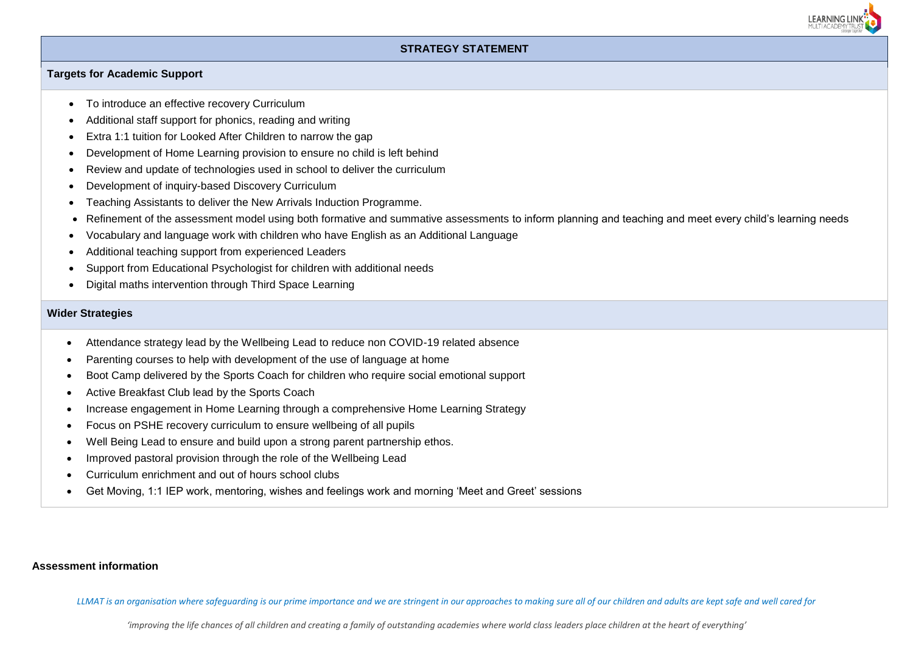

### **STRATEGY STATEMENT**

#### **Targets for Academic Support**

- To introduce an effective recovery Curriculum
- Additional staff support for phonics, reading and writing
- Extra 1:1 tuition for Looked After Children to narrow the gap
- Development of Home Learning provision to ensure no child is left behind
- Review and update of technologies used in school to deliver the curriculum
- Development of inquiry-based Discovery Curriculum
- Teaching Assistants to deliver the New Arrivals Induction Programme.
- Refinement of the assessment model using both formative and summative assessments to inform planning and teaching and meet every child's learning needs
- Vocabulary and language work with children who have English as an Additional Language
- Additional teaching support from experienced Leaders
- Support from Educational Psychologist for children with additional needs
- Digital maths intervention through Third Space Learning

#### **Wider Strategies**

- Attendance strategy lead by the Wellbeing Lead to reduce non COVID-19 related absence
- Parenting courses to help with development of the use of language at home
- Boot Camp delivered by the Sports Coach for children who require social emotional support
- Active Breakfast Club lead by the Sports Coach
- Increase engagement in Home Learning through a comprehensive Home Learning Strategy
- Focus on PSHE recovery curriculum to ensure wellbeing of all pupils
- Well Being Lead to ensure and build upon a strong parent partnership ethos.
- Improved pastoral provision through the role of the Wellbeing Lead
- Curriculum enrichment and out of hours school clubs
- Get Moving, 1:1 IEP work, mentoring, wishes and feelings work and morning 'Meet and Greet' sessions

#### **Assessment information**

*LLMAT is an organisation where safeguarding is our prime importance and we are stringent in our approaches to making sure all of our children and adults are kept safe and well cared for*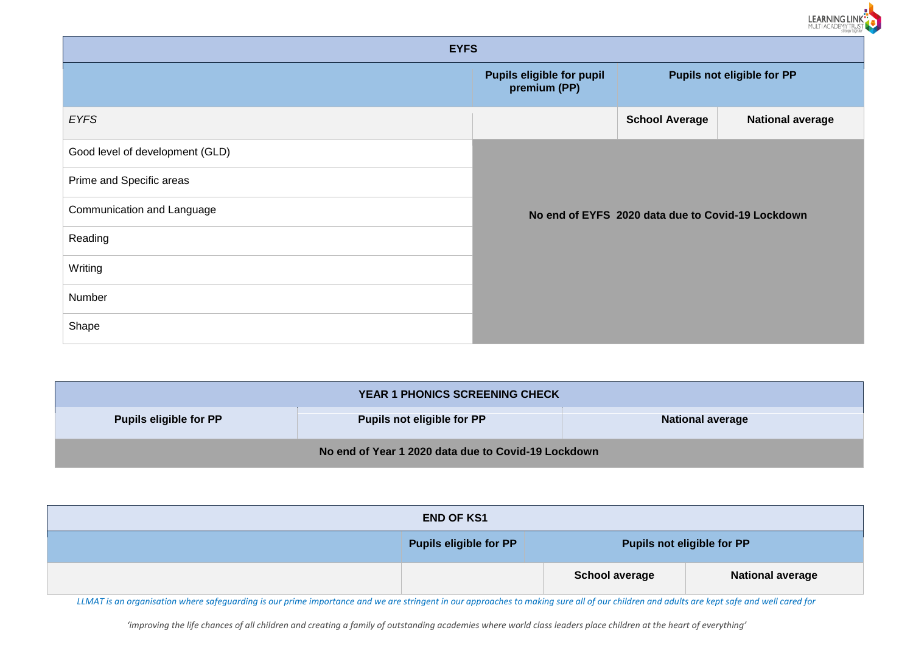|                                 |                                           |                                                   | stronger togeth                   |
|---------------------------------|-------------------------------------------|---------------------------------------------------|-----------------------------------|
| <b>EYFS</b>                     |                                           |                                                   |                                   |
|                                 | Pupils eligible for pupil<br>premium (PP) |                                                   | <b>Pupils not eligible for PP</b> |
| <b>EYFS</b>                     |                                           | <b>School Average</b>                             | <b>National average</b>           |
| Good level of development (GLD) |                                           |                                                   |                                   |
| Prime and Specific areas        |                                           |                                                   |                                   |
| Communication and Language      |                                           | No end of EYFS 2020 data due to Covid-19 Lockdown |                                   |
| Reading                         |                                           |                                                   |                                   |
| Writing                         |                                           |                                                   |                                   |
| Number                          |                                           |                                                   |                                   |
| Shape                           |                                           |                                                   |                                   |

LEARNING LINK<sup>T</sup>

| YEAR 1 PHONICS SCREENING CHECK                      |                                   |                         |  |  |  |  |  |
|-----------------------------------------------------|-----------------------------------|-------------------------|--|--|--|--|--|
| <b>Pupils eligible for PP</b>                       | <b>Pupils not eligible for PP</b> | <b>National average</b> |  |  |  |  |  |
| No end of Year 1 2020 data due to Covid-19 Lockdown |                                   |                         |  |  |  |  |  |

| <b>END OF KS1</b> |                               |                            |                         |  |  |  |  |
|-------------------|-------------------------------|----------------------------|-------------------------|--|--|--|--|
|                   | <b>Pupils eligible for PP</b> | Pupils not eligible for PP |                         |  |  |  |  |
|                   |                               | <b>School average</b>      | <b>National average</b> |  |  |  |  |

*LLMAT is an organisation where safeguarding is our prime importance and we are stringent in our approaches to making sure all of our children and adults are kept safe and well cared for*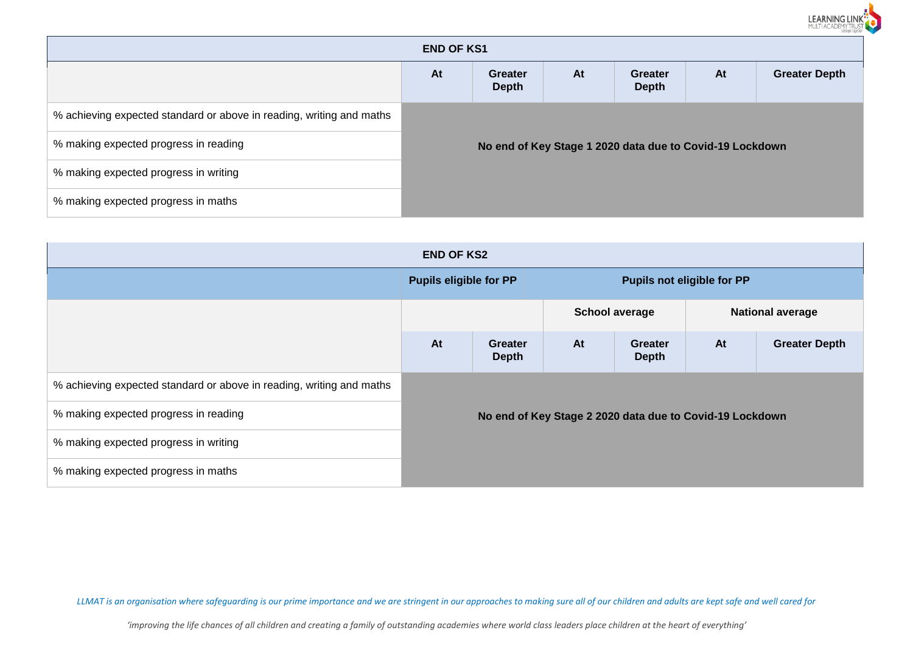|                                                                      |    |                                |    |                                                          |    | LEARNING LINK<br>MULTI ACADEMY TRUST |  |  |
|----------------------------------------------------------------------|----|--------------------------------|----|----------------------------------------------------------|----|--------------------------------------|--|--|
| <b>END OF KS1</b>                                                    |    |                                |    |                                                          |    |                                      |  |  |
|                                                                      | At | <b>Greater</b><br><b>Depth</b> | At | <b>Greater</b><br><b>Depth</b>                           | At | <b>Greater Depth</b>                 |  |  |
| % achieving expected standard or above in reading, writing and maths |    |                                |    |                                                          |    |                                      |  |  |
| % making expected progress in reading                                |    |                                |    | No end of Key Stage 1 2020 data due to Covid-19 Lockdown |    |                                      |  |  |
| % making expected progress in writing                                |    |                                |    |                                                          |    |                                      |  |  |
| % making expected progress in maths                                  |    |                                |    |                                                          |    |                                      |  |  |

| <b>END OF KS2</b>                                                    |                               |                                                          |                                   |                         |    |                         |  |
|----------------------------------------------------------------------|-------------------------------|----------------------------------------------------------|-----------------------------------|-------------------------|----|-------------------------|--|
|                                                                      | <b>Pupils eligible for PP</b> |                                                          | <b>Pupils not eligible for PP</b> |                         |    |                         |  |
|                                                                      |                               |                                                          | <b>School average</b>             |                         |    | <b>National average</b> |  |
|                                                                      | At                            | <b>Greater</b><br><b>Depth</b>                           | At                                | Greater<br><b>Depth</b> | At | <b>Greater Depth</b>    |  |
| % achieving expected standard or above in reading, writing and maths |                               |                                                          |                                   |                         |    |                         |  |
| % making expected progress in reading                                |                               | No end of Key Stage 2 2020 data due to Covid-19 Lockdown |                                   |                         |    |                         |  |
| % making expected progress in writing                                |                               |                                                          |                                   |                         |    |                         |  |
| % making expected progress in maths                                  |                               |                                                          |                                   |                         |    |                         |  |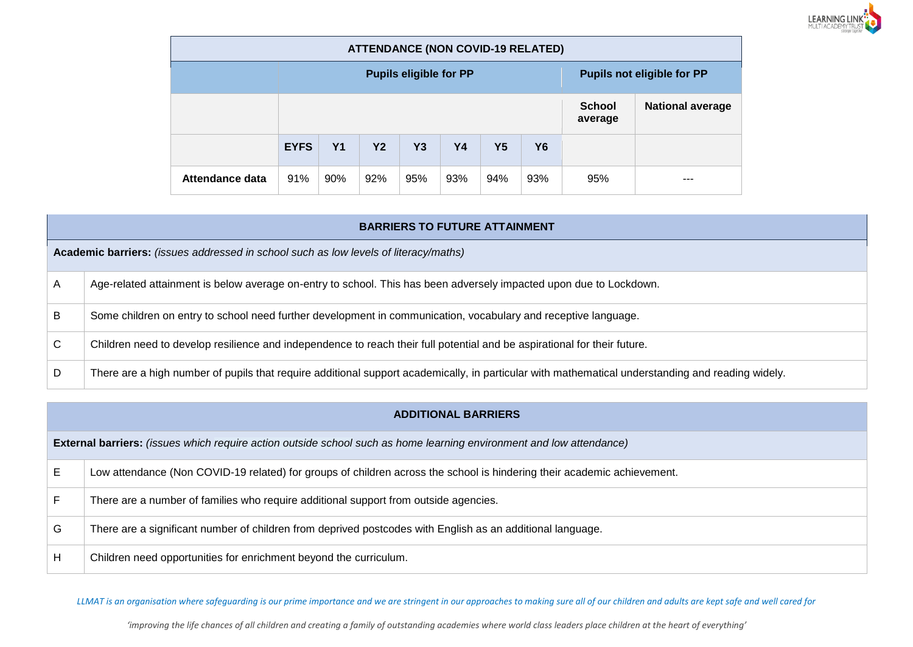

| <b>ATTENDANCE (NON COVID-19 RELATED)</b> |             |                |           |                               |     |                                   |           |     |                         |
|------------------------------------------|-------------|----------------|-----------|-------------------------------|-----|-----------------------------------|-----------|-----|-------------------------|
|                                          |             |                |           | <b>Pupils eligible for PP</b> |     | <b>Pupils not eligible for PP</b> |           |     |                         |
|                                          |             |                |           |                               |     |                                   |           |     | <b>National average</b> |
|                                          | <b>EYFS</b> | Y <sub>1</sub> | <b>Y2</b> | Y3                            | Y4  | <b>Y5</b>                         | <b>Y6</b> |     |                         |
| Attendance data                          | 91%         | 90%            | 92%       | 95%                           | 93% | 94%                               | 93%       | 95% | ---                     |

|    | <b>BARRIERS TO FUTURE ATTAINMENT</b>                                                                                                              |  |  |  |  |  |  |
|----|---------------------------------------------------------------------------------------------------------------------------------------------------|--|--|--|--|--|--|
|    | Academic barriers: (issues addressed in school such as low levels of literacy/maths)                                                              |  |  |  |  |  |  |
| A  | Age-related attainment is below average on-entry to school. This has been adversely impacted upon due to Lockdown.                                |  |  |  |  |  |  |
| B  | Some children on entry to school need further development in communication, vocabulary and receptive language.                                    |  |  |  |  |  |  |
| C. | Children need to develop resilience and independence to reach their full potential and be aspirational for their future.                          |  |  |  |  |  |  |
| D  | There are a high number of pupils that require additional support academically, in particular with mathematical understanding and reading widely. |  |  |  |  |  |  |

|    | <b>ADDITIONAL BARRIERS</b>                                                                                                  |  |  |  |  |  |  |
|----|-----------------------------------------------------------------------------------------------------------------------------|--|--|--|--|--|--|
|    | <b>External barriers:</b> (issues which require action outside school such as home learning environment and low attendance) |  |  |  |  |  |  |
| E. | Low attendance (Non COVID-19 related) for groups of children across the school is hindering their academic achievement.     |  |  |  |  |  |  |
| F. | There are a number of families who require additional support from outside agencies.                                        |  |  |  |  |  |  |
| G  | There are a significant number of children from deprived postcodes with English as an additional language.                  |  |  |  |  |  |  |
| H  | Children need opportunities for enrichment beyond the curriculum.                                                           |  |  |  |  |  |  |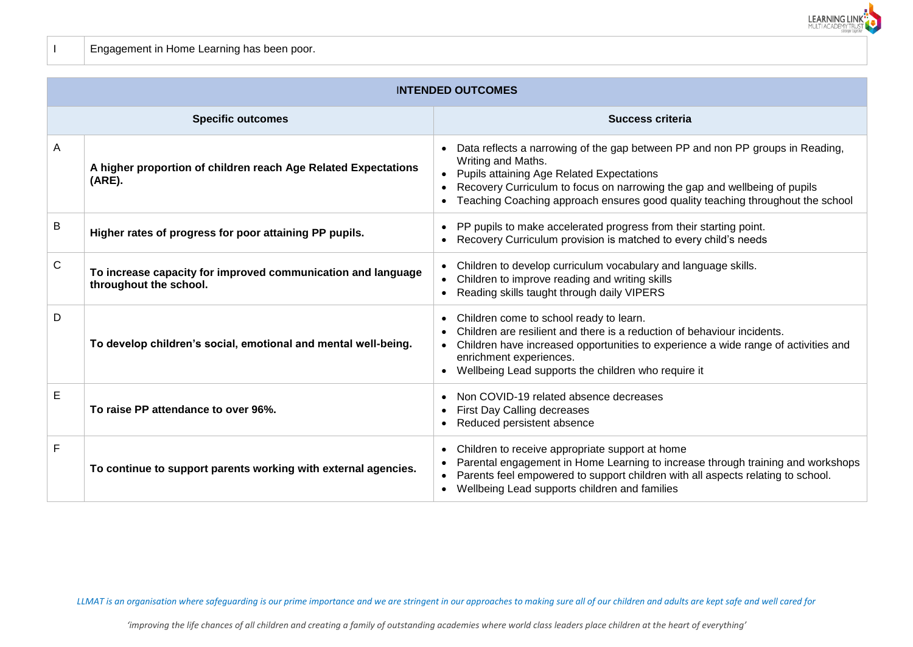

I Engagement in Home Learning has been poor.

|              | <b>INTENDED OUTCOMES</b>                                                               |                                                                                                                                                                                                                                                                                                                                               |  |  |  |  |  |
|--------------|----------------------------------------------------------------------------------------|-----------------------------------------------------------------------------------------------------------------------------------------------------------------------------------------------------------------------------------------------------------------------------------------------------------------------------------------------|--|--|--|--|--|
|              | <b>Specific outcomes</b>                                                               | Success criteria                                                                                                                                                                                                                                                                                                                              |  |  |  |  |  |
| A            | A higher proportion of children reach Age Related Expectations<br>$(ARE)$ .            | Data reflects a narrowing of the gap between PP and non PP groups in Reading,<br>$\bullet$<br>Writing and Maths.<br>• Pupils attaining Age Related Expectations<br>Recovery Curriculum to focus on narrowing the gap and wellbeing of pupils<br>$\bullet$<br>• Teaching Coaching approach ensures good quality teaching throughout the school |  |  |  |  |  |
| B            | Higher rates of progress for poor attaining PP pupils.                                 | PP pupils to make accelerated progress from their starting point.<br>Recovery Curriculum provision is matched to every child's needs                                                                                                                                                                                                          |  |  |  |  |  |
| $\mathsf{C}$ | To increase capacity for improved communication and language<br>throughout the school. | Children to develop curriculum vocabulary and language skills.<br>Children to improve reading and writing skills<br>$\bullet$<br>Reading skills taught through daily VIPERS<br>$\bullet$                                                                                                                                                      |  |  |  |  |  |
| D            | To develop children's social, emotional and mental well-being.                         | • Children come to school ready to learn.<br>Children are resilient and there is a reduction of behaviour incidents.<br>Children have increased opportunities to experience a wide range of activities and<br>$\bullet$<br>enrichment experiences.<br>• Wellbeing Lead supports the children who require it                                   |  |  |  |  |  |
| E            | To raise PP attendance to over 96%.                                                    | Non COVID-19 related absence decreases<br><b>First Day Calling decreases</b><br>Reduced persistent absence<br>$\bullet$                                                                                                                                                                                                                       |  |  |  |  |  |
| F            | To continue to support parents working with external agencies.                         | Children to receive appropriate support at home<br>$\bullet$<br>Parental engagement in Home Learning to increase through training and workshops<br>$\bullet$<br>Parents feel empowered to support children with all aspects relating to school.<br>$\bullet$<br>• Wellbeing Lead supports children and families                               |  |  |  |  |  |

*LLMAT is an organisation where safeguarding is our prime importance and we are stringent in our approaches to making sure all of our children and adults are kept safe and well cared for*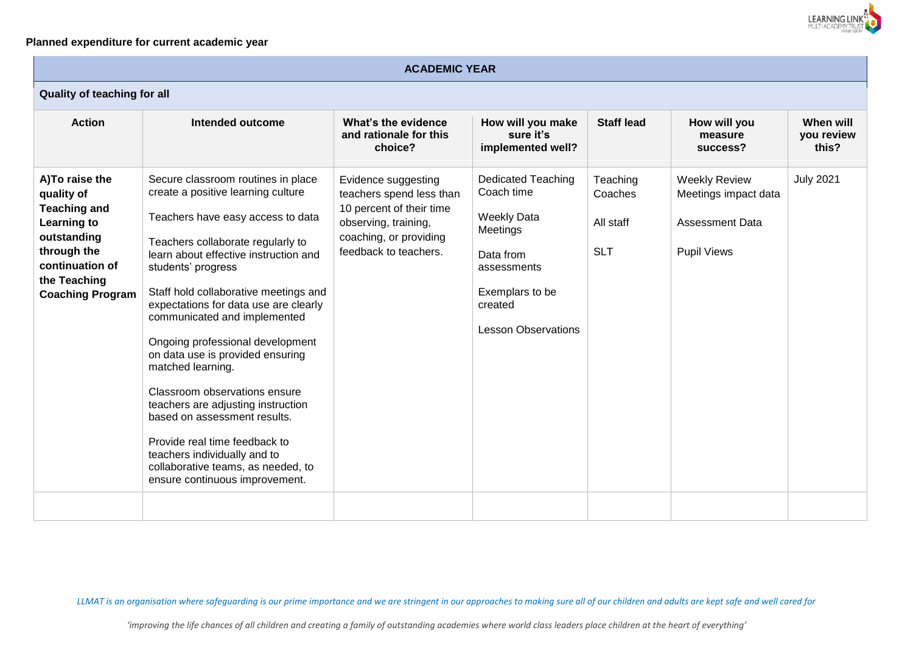

## **Planned expenditure for current academic year**

| <b>ACADEMIC YEAR</b>                                                                                                                                                   |                                                                                                                                                                                                                                                                                                                                                                                                                                                                                                                                                                                                                                                                                  |                                                                                                                                                        |                                                                                                                                                                   |                                                |                                                                                              |                                  |  |  |  |  |  |
|------------------------------------------------------------------------------------------------------------------------------------------------------------------------|----------------------------------------------------------------------------------------------------------------------------------------------------------------------------------------------------------------------------------------------------------------------------------------------------------------------------------------------------------------------------------------------------------------------------------------------------------------------------------------------------------------------------------------------------------------------------------------------------------------------------------------------------------------------------------|--------------------------------------------------------------------------------------------------------------------------------------------------------|-------------------------------------------------------------------------------------------------------------------------------------------------------------------|------------------------------------------------|----------------------------------------------------------------------------------------------|----------------------------------|--|--|--|--|--|
|                                                                                                                                                                        | Quality of teaching for all                                                                                                                                                                                                                                                                                                                                                                                                                                                                                                                                                                                                                                                      |                                                                                                                                                        |                                                                                                                                                                   |                                                |                                                                                              |                                  |  |  |  |  |  |
| <b>Action</b>                                                                                                                                                          | Intended outcome                                                                                                                                                                                                                                                                                                                                                                                                                                                                                                                                                                                                                                                                 | What's the evidence<br>and rationale for this<br>choice?                                                                                               | How will you make<br>sure it's<br>implemented well?                                                                                                               | <b>Staff lead</b>                              | How will you<br>measure<br>success?                                                          | When will<br>you review<br>this? |  |  |  |  |  |
| A) To raise the<br>quality of<br><b>Teaching and</b><br><b>Learning to</b><br>outstanding<br>through the<br>continuation of<br>the Teaching<br><b>Coaching Program</b> | Secure classroom routines in place<br>create a positive learning culture<br>Teachers have easy access to data<br>Teachers collaborate regularly to<br>learn about effective instruction and<br>students' progress<br>Staff hold collaborative meetings and<br>expectations for data use are clearly<br>communicated and implemented<br>Ongoing professional development<br>on data use is provided ensuring<br>matched learning.<br>Classroom observations ensure<br>teachers are adjusting instruction<br>based on assessment results.<br>Provide real time feedback to<br>teachers individually and to<br>collaborative teams, as needed, to<br>ensure continuous improvement. | Evidence suggesting<br>teachers spend less than<br>10 percent of their time<br>observing, training,<br>coaching, or providing<br>feedback to teachers. | <b>Dedicated Teaching</b><br>Coach time<br><b>Weekly Data</b><br>Meetings<br>Data from<br>assessments<br>Exemplars to be<br>created<br><b>Lesson Observations</b> | Teaching<br>Coaches<br>All staff<br><b>SLT</b> | <b>Weekly Review</b><br>Meetings impact data<br><b>Assessment Data</b><br><b>Pupil Views</b> | <b>July 2021</b>                 |  |  |  |  |  |
|                                                                                                                                                                        |                                                                                                                                                                                                                                                                                                                                                                                                                                                                                                                                                                                                                                                                                  |                                                                                                                                                        |                                                                                                                                                                   |                                                |                                                                                              |                                  |  |  |  |  |  |

*LLMAT is an organisation where safeguarding is our prime importance and we are stringent in our approaches to making sure all of our children and adults are kept safe and well cared for*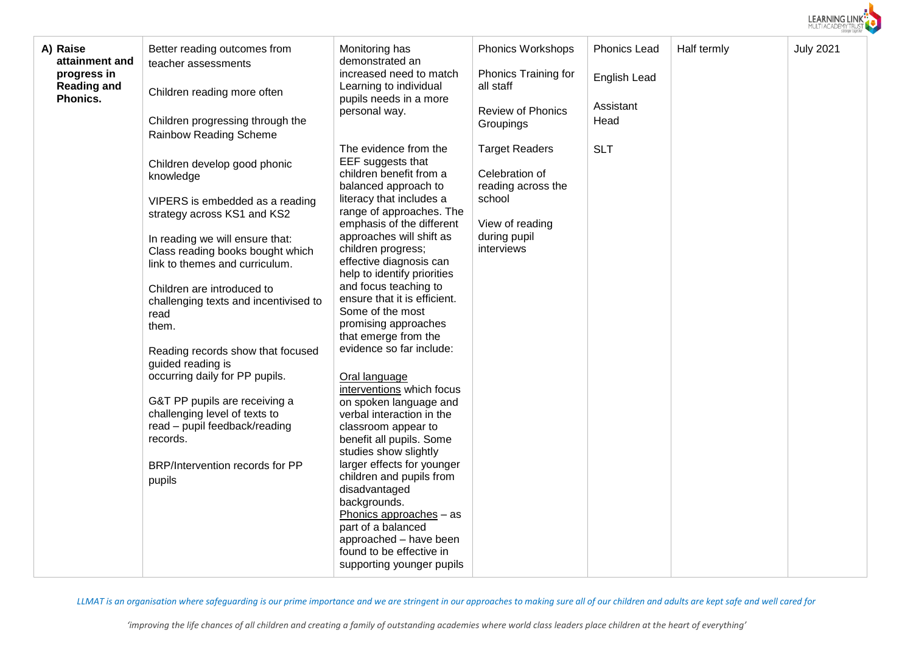

| A) Raise<br>attainment and | Better reading outcomes from                  | Monitoring has                                        | <b>Phonics Workshops</b>    | <b>Phonics Lead</b> | Half termly | <b>July 2021</b> |
|----------------------------|-----------------------------------------------|-------------------------------------------------------|-----------------------------|---------------------|-------------|------------------|
| progress in                | teacher assessments                           | demonstrated an<br>increased need to match            | <b>Phonics Training for</b> |                     |             |                  |
| <b>Reading and</b>         |                                               | Learning to individual                                | all staff                   | English Lead        |             |                  |
| Phonics.                   | Children reading more often                   | pupils needs in a more                                |                             |                     |             |                  |
|                            |                                               | personal way.                                         | Review of Phonics           | Assistant           |             |                  |
|                            | Children progressing through the              |                                                       | Groupings                   | Head                |             |                  |
|                            | Rainbow Reading Scheme                        |                                                       |                             |                     |             |                  |
|                            |                                               | The evidence from the                                 | <b>Target Readers</b>       | <b>SLT</b>          |             |                  |
|                            | Children develop good phonic                  | EEF suggests that<br>children benefit from a          | Celebration of              |                     |             |                  |
|                            | knowledge                                     | balanced approach to                                  | reading across the          |                     |             |                  |
|                            | VIPERS is embedded as a reading               | literacy that includes a                              | school                      |                     |             |                  |
|                            | strategy across KS1 and KS2                   | range of approaches. The                              |                             |                     |             |                  |
|                            |                                               | emphasis of the different                             | View of reading             |                     |             |                  |
|                            | In reading we will ensure that:               | approaches will shift as                              | during pupil                |                     |             |                  |
|                            | Class reading books bought which              | children progress;                                    | interviews                  |                     |             |                  |
|                            | link to themes and curriculum.                | effective diagnosis can                               |                             |                     |             |                  |
|                            |                                               | help to identify priorities                           |                             |                     |             |                  |
|                            | Children are introduced to                    | and focus teaching to<br>ensure that it is efficient. |                             |                     |             |                  |
|                            | challenging texts and incentivised to<br>read | Some of the most                                      |                             |                     |             |                  |
|                            | them.                                         | promising approaches                                  |                             |                     |             |                  |
|                            |                                               | that emerge from the                                  |                             |                     |             |                  |
|                            | Reading records show that focused             | evidence so far include:                              |                             |                     |             |                  |
|                            | guided reading is                             |                                                       |                             |                     |             |                  |
|                            | occurring daily for PP pupils.                | Oral language                                         |                             |                     |             |                  |
|                            |                                               | interventions which focus                             |                             |                     |             |                  |
|                            | G&T PP pupils are receiving a                 | on spoken language and                                |                             |                     |             |                  |
|                            | challenging level of texts to                 | verbal interaction in the                             |                             |                     |             |                  |
|                            | read - pupil feedback/reading<br>records.     | classroom appear to<br>benefit all pupils. Some       |                             |                     |             |                  |
|                            |                                               | studies show slightly                                 |                             |                     |             |                  |
|                            | BRP/Intervention records for PP               | larger effects for younger                            |                             |                     |             |                  |
|                            | pupils                                        | children and pupils from                              |                             |                     |             |                  |
|                            |                                               | disadvantaged                                         |                             |                     |             |                  |
|                            |                                               | backgrounds.                                          |                             |                     |             |                  |
|                            |                                               | Phonics approaches - as                               |                             |                     |             |                  |
|                            |                                               | part of a balanced<br>approached - have been          |                             |                     |             |                  |
|                            |                                               | found to be effective in                              |                             |                     |             |                  |
|                            |                                               | supporting younger pupils                             |                             |                     |             |                  |
|                            |                                               |                                                       |                             |                     |             |                  |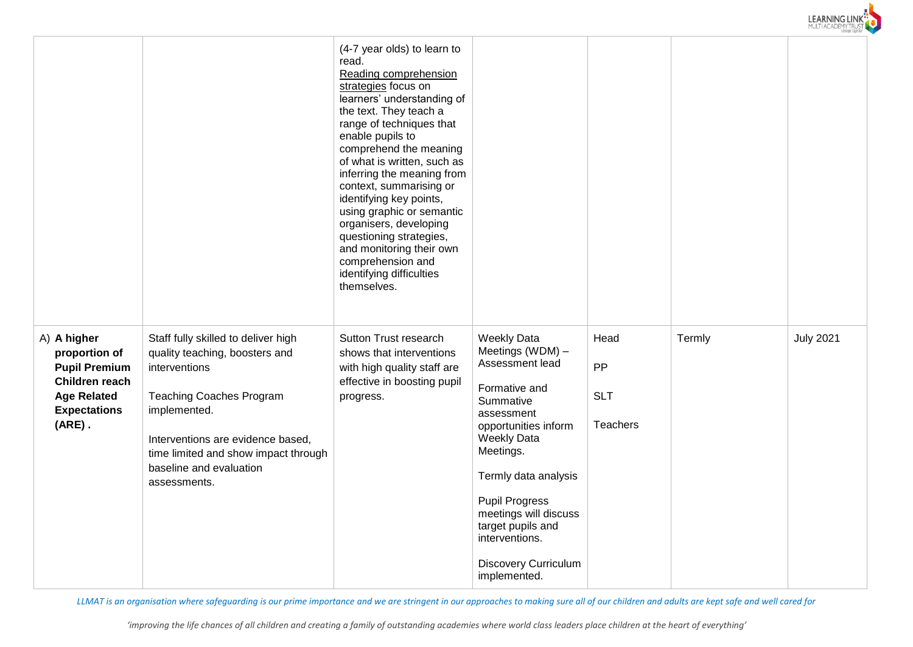

|                                                                                                                                  |                                                                                                                                                                                                                                                                   | (4-7 year olds) to learn to<br>read.<br>Reading comprehension<br>strategies focus on<br>learners' understanding of<br>the text. They teach a<br>range of techniques that<br>enable pupils to<br>comprehend the meaning<br>of what is written, such as<br>inferring the meaning from<br>context, summarising or<br>identifying key points,<br>using graphic or semantic<br>organisers, developing<br>questioning strategies,<br>and monitoring their own<br>comprehension and<br>identifying difficulties<br>themselves. |                                                                                                                                                                                                                                                                                                                                  |                                      |        |                  |
|----------------------------------------------------------------------------------------------------------------------------------|-------------------------------------------------------------------------------------------------------------------------------------------------------------------------------------------------------------------------------------------------------------------|-------------------------------------------------------------------------------------------------------------------------------------------------------------------------------------------------------------------------------------------------------------------------------------------------------------------------------------------------------------------------------------------------------------------------------------------------------------------------------------------------------------------------|----------------------------------------------------------------------------------------------------------------------------------------------------------------------------------------------------------------------------------------------------------------------------------------------------------------------------------|--------------------------------------|--------|------------------|
| A) A higher<br>proportion of<br><b>Pupil Premium</b><br>Children reach<br><b>Age Related</b><br><b>Expectations</b><br>$(ARE)$ . | Staff fully skilled to deliver high<br>quality teaching, boosters and<br>interventions<br><b>Teaching Coaches Program</b><br>implemented.<br>Interventions are evidence based,<br>time limited and show impact through<br>baseline and evaluation<br>assessments. | Sutton Trust research<br>shows that interventions<br>with high quality staff are<br>effective in boosting pupil<br>progress.                                                                                                                                                                                                                                                                                                                                                                                            | <b>Weekly Data</b><br>Meetings (WDM) -<br>Assessment lead<br>Formative and<br>Summative<br>assessment<br>opportunities inform<br><b>Weekly Data</b><br>Meetings.<br>Termly data analysis<br><b>Pupil Progress</b><br>meetings will discuss<br>target pupils and<br>interventions.<br><b>Discovery Curriculum</b><br>implemented. | Head<br>PP<br><b>SLT</b><br>Teachers | Termly | <b>July 2021</b> |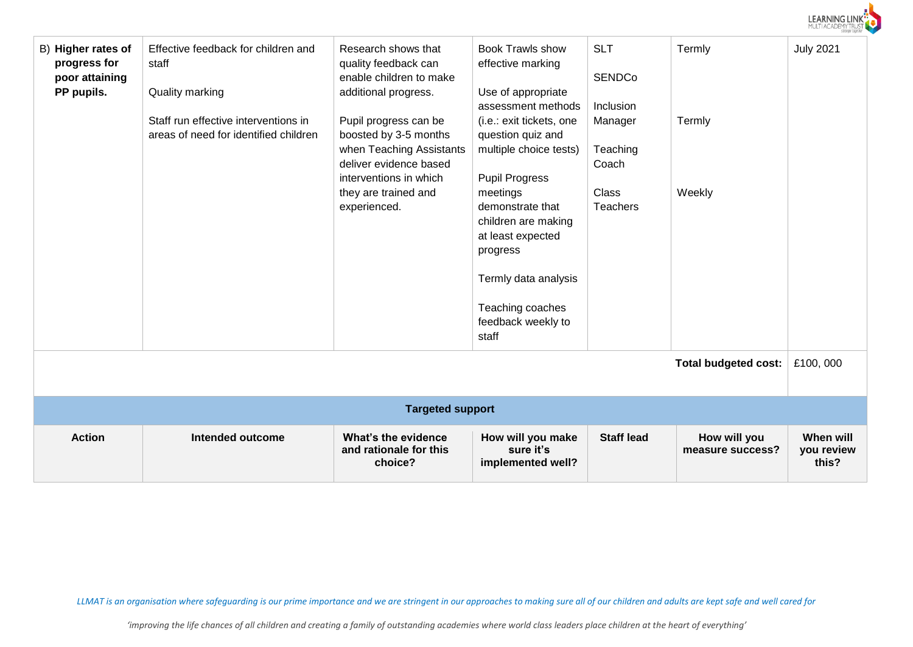

| B) Higher rates of<br>progress for<br>poor attaining<br>PP pupils. | Effective feedback for children and<br>staff<br>Quality marking<br>Staff run effective interventions in<br>areas of need for identified children | Research shows that<br>quality feedback can<br>enable children to make<br>additional progress.<br>Pupil progress can be<br>boosted by 3-5 months<br>when Teaching Assistants<br>deliver evidence based<br>interventions in which<br>they are trained and<br>experienced. | <b>Book Trawls show</b><br>effective marking<br>Use of appropriate<br>assessment methods<br>(i.e.: exit tickets, one<br>question quiz and<br>multiple choice tests)<br><b>Pupil Progress</b><br>meetings<br>demonstrate that<br>children are making<br>at least expected<br>progress<br>Termly data analysis<br>Teaching coaches<br>feedback weekly to<br>staff | <b>SLT</b><br><b>SENDCo</b><br>Inclusion<br>Manager<br>Teaching<br>Coach<br><b>Class</b><br><b>Teachers</b> | Termly<br>Termly<br>Weekly       | <b>July 2021</b>                 |
|--------------------------------------------------------------------|--------------------------------------------------------------------------------------------------------------------------------------------------|--------------------------------------------------------------------------------------------------------------------------------------------------------------------------------------------------------------------------------------------------------------------------|-----------------------------------------------------------------------------------------------------------------------------------------------------------------------------------------------------------------------------------------------------------------------------------------------------------------------------------------------------------------|-------------------------------------------------------------------------------------------------------------|----------------------------------|----------------------------------|
| <b>Total budgeted cost:</b>                                        |                                                                                                                                                  |                                                                                                                                                                                                                                                                          |                                                                                                                                                                                                                                                                                                                                                                 |                                                                                                             |                                  |                                  |
|                                                                    |                                                                                                                                                  | <b>Targeted support</b>                                                                                                                                                                                                                                                  |                                                                                                                                                                                                                                                                                                                                                                 |                                                                                                             |                                  |                                  |
| <b>Action</b>                                                      | <b>Intended outcome</b>                                                                                                                          | What's the evidence<br>and rationale for this<br>choice?                                                                                                                                                                                                                 | How will you make<br>sure it's<br>implemented well?                                                                                                                                                                                                                                                                                                             | <b>Staff lead</b>                                                                                           | How will you<br>measure success? | When will<br>you review<br>this? |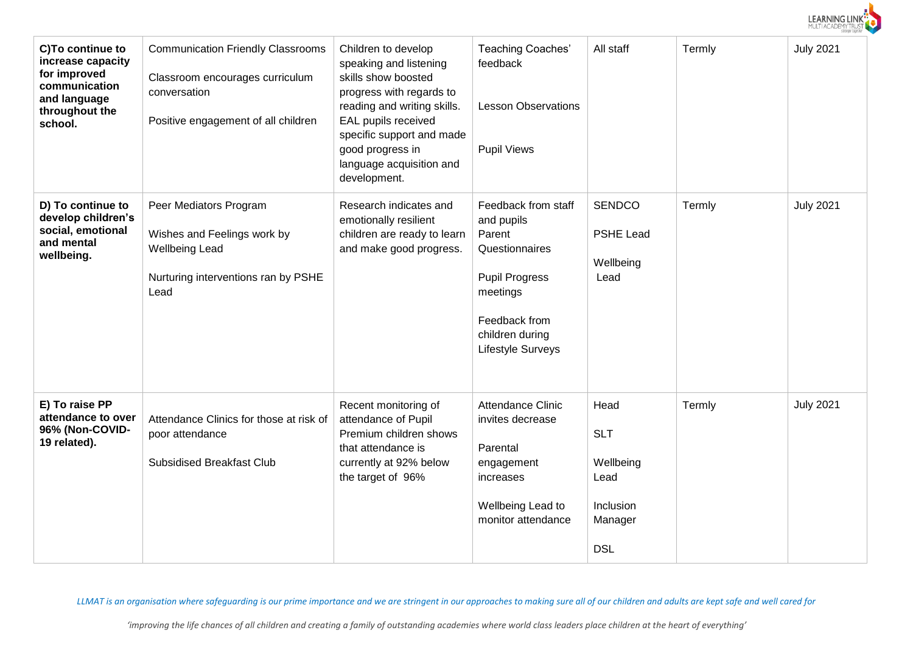

| C)To continue to<br>increase capacity<br>for improved<br>communication<br>and language<br>throughout the<br>school. | <b>Communication Friendly Classrooms</b><br>Classroom encourages curriculum<br>conversation<br>Positive engagement of all children | Children to develop<br>speaking and listening<br>skills show boosted<br>progress with regards to<br>reading and writing skills.<br>EAL pupils received<br>specific support and made<br>good progress in<br>language acquisition and<br>development. | <b>Teaching Coaches'</b><br>feedback<br><b>Lesson Observations</b><br><b>Pupil Views</b>                                                                    | All staff                                                                     | Termly | <b>July 2021</b> |
|---------------------------------------------------------------------------------------------------------------------|------------------------------------------------------------------------------------------------------------------------------------|-----------------------------------------------------------------------------------------------------------------------------------------------------------------------------------------------------------------------------------------------------|-------------------------------------------------------------------------------------------------------------------------------------------------------------|-------------------------------------------------------------------------------|--------|------------------|
| D) To continue to<br>develop children's<br>social, emotional<br>and mental<br>wellbeing.                            | Peer Mediators Program<br>Wishes and Feelings work by<br><b>Wellbeing Lead</b><br>Nurturing interventions ran by PSHE<br>Lead      | Research indicates and<br>emotionally resilient<br>children are ready to learn<br>and make good progress.                                                                                                                                           | Feedback from staff<br>and pupils<br>Parent<br>Questionnaires<br><b>Pupil Progress</b><br>meetings<br>Feedback from<br>children during<br>Lifestyle Surveys | <b>SENDCO</b><br><b>PSHE Lead</b><br>Wellbeing<br>Lead                        | Termly | <b>July 2021</b> |
| E) To raise PP<br>attendance to over<br>96% (Non-COVID-<br>19 related).                                             | Attendance Clinics for those at risk of<br>poor attendance<br><b>Subsidised Breakfast Club</b>                                     | Recent monitoring of<br>attendance of Pupil<br>Premium children shows<br>that attendance is<br>currently at 92% below<br>the target of 96%                                                                                                          | Attendance Clinic<br>invites decrease<br>Parental<br>engagement<br>increases<br>Wellbeing Lead to<br>monitor attendance                                     | Head<br><b>SLT</b><br>Wellbeing<br>Lead<br>Inclusion<br>Manager<br><b>DSL</b> | Termly | <b>July 2021</b> |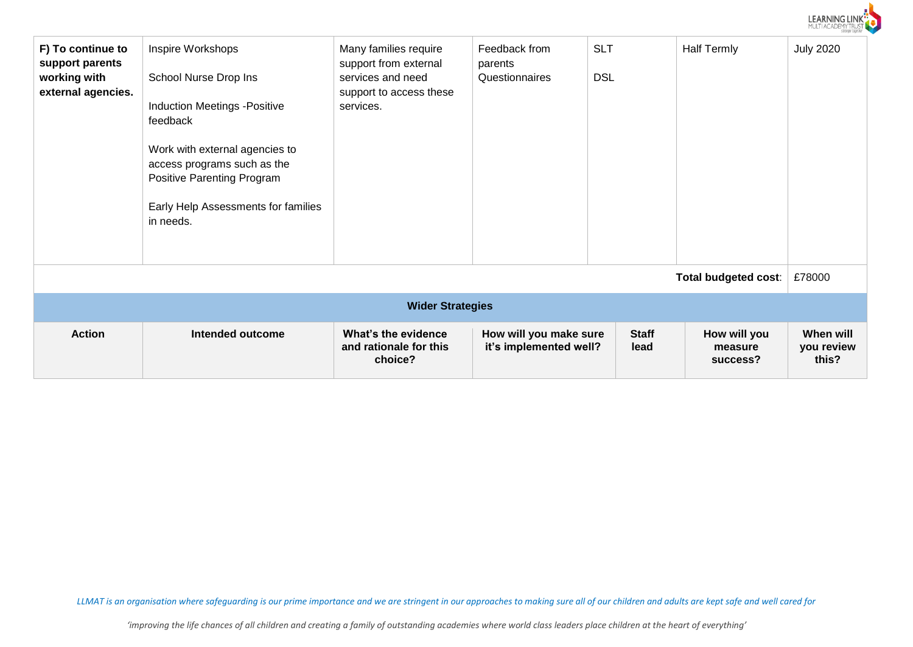

| F) To continue to<br>support parents<br>working with<br>external agencies. | Inspire Workshops<br>School Nurse Drop Ins<br><b>Induction Meetings -Positive</b><br>feedback<br>Work with external agencies to<br>access programs such as the<br><b>Positive Parenting Program</b><br>Early Help Assessments for families<br>in needs. | Many families require<br>support from external<br>services and need<br>support to access these<br>services. | Feedback from<br>parents<br>Questionnaires       | <b>SLT</b><br><b>DSL</b> | <b>Half Termly</b>                  | <b>July 2020</b>                 |  |  |
|----------------------------------------------------------------------------|---------------------------------------------------------------------------------------------------------------------------------------------------------------------------------------------------------------------------------------------------------|-------------------------------------------------------------------------------------------------------------|--------------------------------------------------|--------------------------|-------------------------------------|----------------------------------|--|--|
|                                                                            |                                                                                                                                                                                                                                                         |                                                                                                             |                                                  |                          | Total budgeted cost:                | £78000                           |  |  |
| <b>Wider Strategies</b>                                                    |                                                                                                                                                                                                                                                         |                                                                                                             |                                                  |                          |                                     |                                  |  |  |
| <b>Action</b>                                                              | Intended outcome                                                                                                                                                                                                                                        | What's the evidence<br>and rationale for this<br>choice?                                                    | How will you make sure<br>it's implemented well? | <b>Staff</b><br>lead     | How will you<br>measure<br>success? | When will<br>you review<br>this? |  |  |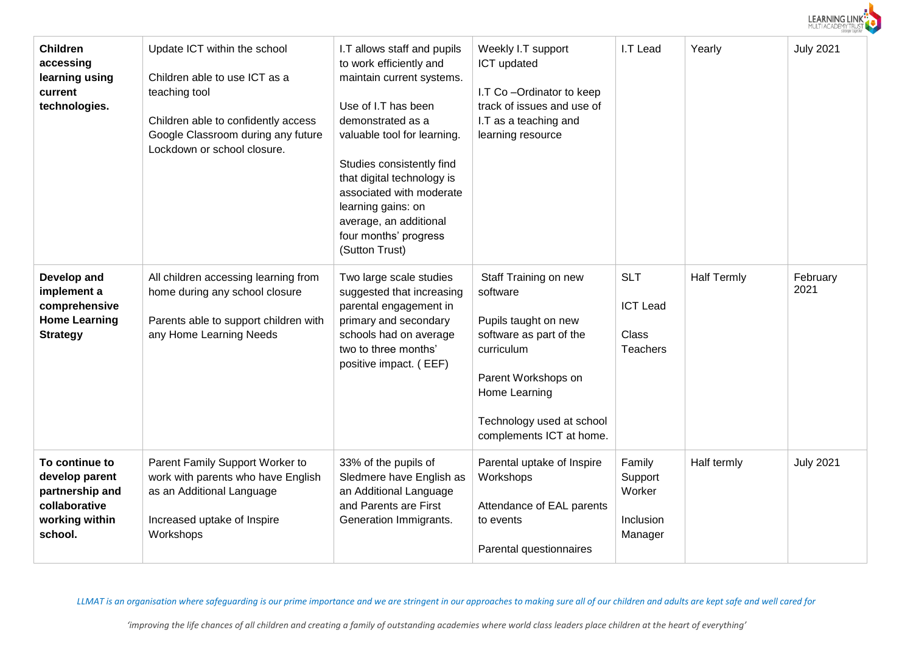

| <b>Children</b><br>accessing<br>learning using<br>current<br>technologies.                        | Update ICT within the school<br>Children able to use ICT as a<br>teaching tool<br>Children able to confidently access<br>Google Classroom during any future<br>Lockdown or school closure. | I.T allows staff and pupils<br>to work efficiently and<br>maintain current systems.<br>Use of I.T has been<br>demonstrated as a<br>valuable tool for learning.<br>Studies consistently find<br>that digital technology is<br>associated with moderate<br>learning gains: on<br>average, an additional<br>four months' progress<br>(Sutton Trust) | Weekly I.T support<br>ICT updated<br>I.T Co-Ordinator to keep<br>track of issues and use of<br>I.T as a teaching and<br>learning resource                                                           | I.T Lead                                                  | Yearly             | <b>July 2021</b> |
|---------------------------------------------------------------------------------------------------|--------------------------------------------------------------------------------------------------------------------------------------------------------------------------------------------|--------------------------------------------------------------------------------------------------------------------------------------------------------------------------------------------------------------------------------------------------------------------------------------------------------------------------------------------------|-----------------------------------------------------------------------------------------------------------------------------------------------------------------------------------------------------|-----------------------------------------------------------|--------------------|------------------|
| Develop and<br>implement a<br>comprehensive<br><b>Home Learning</b><br><b>Strategy</b>            | All children accessing learning from<br>home during any school closure<br>Parents able to support children with<br>any Home Learning Needs                                                 | Two large scale studies<br>suggested that increasing<br>parental engagement in<br>primary and secondary<br>schools had on average<br>two to three months'<br>positive impact. (EEF)                                                                                                                                                              | Staff Training on new<br>software<br>Pupils taught on new<br>software as part of the<br>curriculum<br>Parent Workshops on<br>Home Learning<br>Technology used at school<br>complements ICT at home. | <b>SLT</b><br><b>ICT Lead</b><br>Class<br><b>Teachers</b> | <b>Half Termly</b> | February<br>2021 |
| To continue to<br>develop parent<br>partnership and<br>collaborative<br>working within<br>school. | Parent Family Support Worker to<br>work with parents who have English<br>as an Additional Language<br>Increased uptake of Inspire<br>Workshops                                             | 33% of the pupils of<br>Sledmere have English as<br>an Additional Language<br>and Parents are First<br>Generation Immigrants.                                                                                                                                                                                                                    | Parental uptake of Inspire<br>Workshops<br>Attendance of EAL parents<br>to events<br>Parental questionnaires                                                                                        | Family<br>Support<br>Worker<br>Inclusion<br>Manager       | Half termly        | <b>July 2021</b> |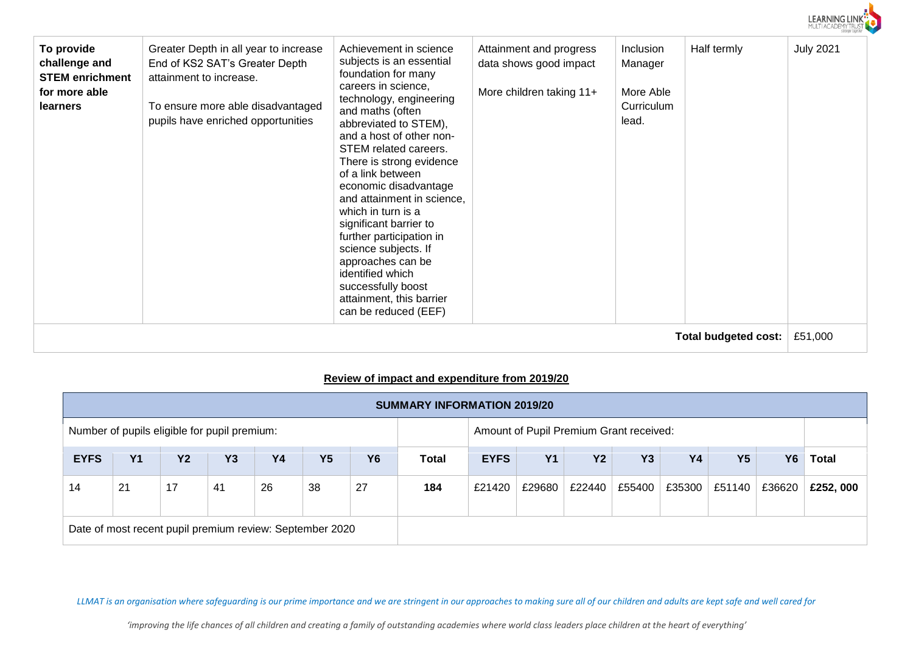| LEARNING LINK<br>MULTI ACADEMY TRUST<br>stronger together |
|-----------------------------------------------------------|
|-----------------------------------------------------------|

| To provide<br>challenge and<br><b>STEM enrichment</b><br>for more able<br><b>learners</b> | Greater Depth in all year to increase<br>End of KS2 SAT's Greater Depth<br>attainment to increase.<br>To ensure more able disadvantaged<br>pupils have enriched opportunities | Achievement in science<br>subjects is an essential<br>foundation for many<br>careers in science,<br>technology, engineering<br>and maths (often<br>abbreviated to STEM),<br>and a host of other non-<br>STEM related careers.<br>There is strong evidence<br>of a link between<br>economic disadvantage<br>and attainment in science,<br>which in turn is a<br>significant barrier to<br>further participation in<br>science subjects. If<br>approaches can be<br>identified which<br>successfully boost<br>attainment, this barrier<br>can be reduced (EEF) | Attainment and progress<br>data shows good impact<br>More children taking 11+ | Inclusion<br>Manager<br>More Able<br>Curriculum<br>lead. | Half termly                 | <b>July 2021</b> |
|-------------------------------------------------------------------------------------------|-------------------------------------------------------------------------------------------------------------------------------------------------------------------------------|--------------------------------------------------------------------------------------------------------------------------------------------------------------------------------------------------------------------------------------------------------------------------------------------------------------------------------------------------------------------------------------------------------------------------------------------------------------------------------------------------------------------------------------------------------------|-------------------------------------------------------------------------------|----------------------------------------------------------|-----------------------------|------------------|
|                                                                                           |                                                                                                                                                                               |                                                                                                                                                                                                                                                                                                                                                                                                                                                                                                                                                              |                                                                               |                                                          | <b>Total budgeted cost:</b> | £51,000          |

## **Review of impact and expenditure from 2019/20**

|                                                                                         | <b>SUMMARY INFORMATION 2019/20</b> |           |           |    |           |           |              |                                                                                           |  |  |  |              |          |
|-----------------------------------------------------------------------------------------|------------------------------------|-----------|-----------|----|-----------|-----------|--------------|-------------------------------------------------------------------------------------------|--|--|--|--------------|----------|
| Amount of Pupil Premium Grant received:<br>Number of pupils eligible for pupil premium: |                                    |           |           |    |           |           |              |                                                                                           |  |  |  |              |          |
| <b>EYFS</b>                                                                             | <b>Y1</b>                          | <b>Y2</b> | <b>Y3</b> | Y4 | <b>Y5</b> | <b>Y6</b> | <b>Total</b> | <b>Y1</b><br><b>Y5</b><br><b>EYFS</b><br><b>Y2</b><br><b>Y3</b><br><b>Y4</b><br><b>Y6</b> |  |  |  | <b>Total</b> |          |
| 14                                                                                      | 21                                 | 17        | 41        | 26 | 38        | 27        | 184          | £55400<br>£35300<br>£22440<br>£51140<br>£36620<br>£21420<br>£29680                        |  |  |  |              | £252,000 |
| Date of most recent pupil premium review: September 2020                                |                                    |           |           |    |           |           |              |                                                                                           |  |  |  |              |          |

*LLMAT is an organisation where safeguarding is our prime importance and we are stringent in our approaches to making sure all of our children and adults are kept safe and well cared for*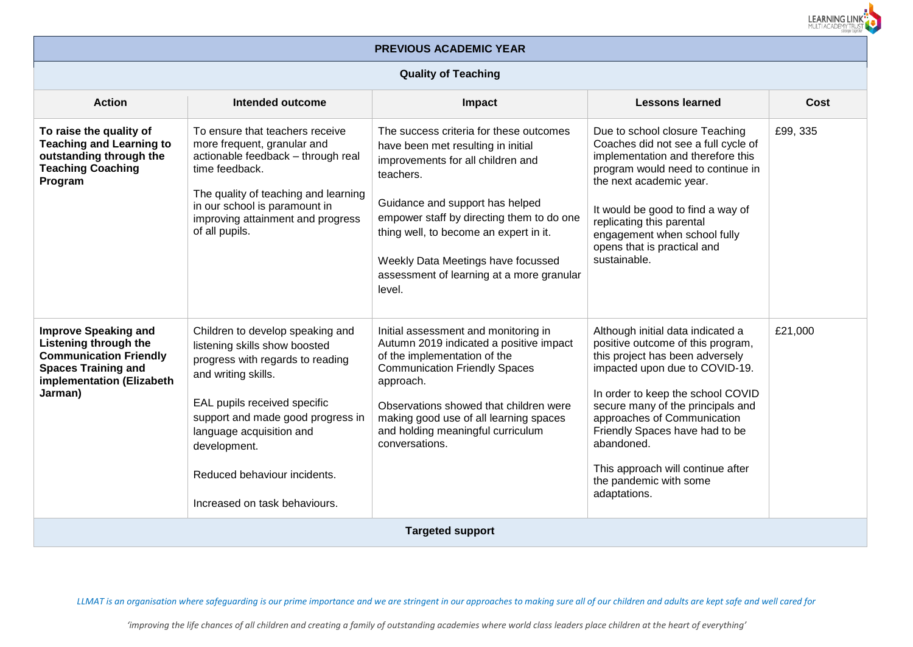

# **PREVIOUS ACADEMIC YEAR**

### **Quality of Teaching**

| <b>Action</b>                                                                                                                                                      | Intended outcome                                                                                                                                                                                                                                                                                               | <b>Impact</b>                                                                                                                                                                                                                                                                                                                                          | <b>Lessons learned</b>                                                                                                                                                                                                                                                                                                                                                              | Cost     |  |  |  |  |  |
|--------------------------------------------------------------------------------------------------------------------------------------------------------------------|----------------------------------------------------------------------------------------------------------------------------------------------------------------------------------------------------------------------------------------------------------------------------------------------------------------|--------------------------------------------------------------------------------------------------------------------------------------------------------------------------------------------------------------------------------------------------------------------------------------------------------------------------------------------------------|-------------------------------------------------------------------------------------------------------------------------------------------------------------------------------------------------------------------------------------------------------------------------------------------------------------------------------------------------------------------------------------|----------|--|--|--|--|--|
| To raise the quality of<br><b>Teaching and Learning to</b><br>outstanding through the<br><b>Teaching Coaching</b><br>Program                                       | To ensure that teachers receive<br>more frequent, granular and<br>actionable feedback - through real<br>time feedback.<br>The quality of teaching and learning<br>in our school is paramount in<br>improving attainment and progress<br>of all pupils.                                                         | The success criteria for these outcomes<br>have been met resulting in initial<br>improvements for all children and<br>teachers.<br>Guidance and support has helped<br>empower staff by directing them to do one<br>thing well, to become an expert in it.<br>Weekly Data Meetings have focussed<br>assessment of learning at a more granular<br>level. | Due to school closure Teaching<br>Coaches did not see a full cycle of<br>implementation and therefore this<br>program would need to continue in<br>the next academic year.<br>It would be good to find a way of<br>replicating this parental<br>engagement when school fully<br>opens that is practical and<br>sustainable.                                                         | £99, 335 |  |  |  |  |  |
| <b>Improve Speaking and</b><br><b>Listening through the</b><br><b>Communication Friendly</b><br><b>Spaces Training and</b><br>implementation (Elizabeth<br>Jarman) | Children to develop speaking and<br>listening skills show boosted<br>progress with regards to reading<br>and writing skills.<br>EAL pupils received specific<br>support and made good progress in<br>language acquisition and<br>development.<br>Reduced behaviour incidents.<br>Increased on task behaviours. | Initial assessment and monitoring in<br>Autumn 2019 indicated a positive impact<br>of the implementation of the<br><b>Communication Friendly Spaces</b><br>approach.<br>Observations showed that children were<br>making good use of all learning spaces<br>and holding meaningful curriculum<br>conversations.                                        | Although initial data indicated a<br>positive outcome of this program,<br>this project has been adversely<br>impacted upon due to COVID-19.<br>In order to keep the school COVID<br>secure many of the principals and<br>approaches of Communication<br>Friendly Spaces have had to be<br>abandoned.<br>This approach will continue after<br>the pandemic with some<br>adaptations. | £21,000  |  |  |  |  |  |
|                                                                                                                                                                    | <b>Targeted support</b>                                                                                                                                                                                                                                                                                        |                                                                                                                                                                                                                                                                                                                                                        |                                                                                                                                                                                                                                                                                                                                                                                     |          |  |  |  |  |  |

*LLMAT is an organisation where safeguarding is our prime importance and we are stringent in our approaches to making sure all of our children and adults are kept safe and well cared for*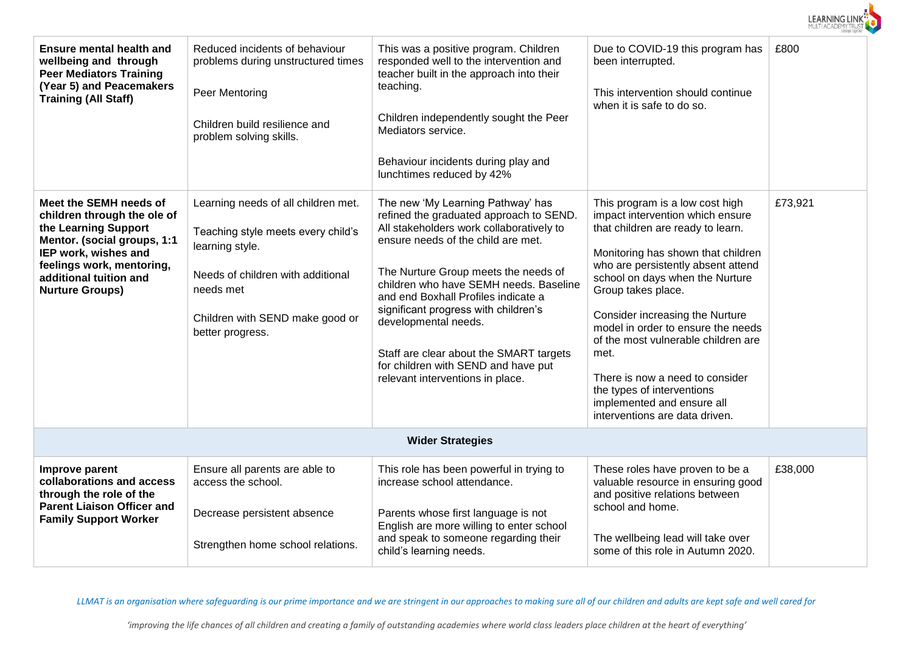

| <b>Ensure mental health and</b><br>wellbeing and through<br><b>Peer Mediators Training</b><br>(Year 5) and Peacemakers<br><b>Training (All Staff)</b>                                                                 | Reduced incidents of behaviour<br>problems during unstructured times<br>Peer Mentoring<br>Children build resilience and<br>problem solving skills.                                                    | This was a positive program. Children<br>responded well to the intervention and<br>teacher built in the approach into their<br>teaching.<br>Children independently sought the Peer<br>Mediators service.<br>Behaviour incidents during play and<br>lunchtimes reduced by 42%                                                                                                                                                                                                  | Due to COVID-19 this program has<br>been interrupted.<br>This intervention should continue<br>when it is safe to do so.                                                                                                                                                                                                                                                                                                                                                                                | £800    |  |  |  |  |  |  |
|-----------------------------------------------------------------------------------------------------------------------------------------------------------------------------------------------------------------------|-------------------------------------------------------------------------------------------------------------------------------------------------------------------------------------------------------|-------------------------------------------------------------------------------------------------------------------------------------------------------------------------------------------------------------------------------------------------------------------------------------------------------------------------------------------------------------------------------------------------------------------------------------------------------------------------------|--------------------------------------------------------------------------------------------------------------------------------------------------------------------------------------------------------------------------------------------------------------------------------------------------------------------------------------------------------------------------------------------------------------------------------------------------------------------------------------------------------|---------|--|--|--|--|--|--|
| Meet the SEMH needs of<br>children through the ole of<br>the Learning Support<br>Mentor. (social groups, 1:1<br>IEP work, wishes and<br>feelings work, mentoring,<br>additional tuition and<br><b>Nurture Groups)</b> | Learning needs of all children met.<br>Teaching style meets every child's<br>learning style.<br>Needs of children with additional<br>needs met<br>Children with SEND make good or<br>better progress. | The new 'My Learning Pathway' has<br>refined the graduated approach to SEND.<br>All stakeholders work collaboratively to<br>ensure needs of the child are met.<br>The Nurture Group meets the needs of<br>children who have SEMH needs. Baseline<br>and end Boxhall Profiles indicate a<br>significant progress with children's<br>developmental needs.<br>Staff are clear about the SMART targets<br>for children with SEND and have put<br>relevant interventions in place. | This program is a low cost high<br>impact intervention which ensure<br>that children are ready to learn.<br>Monitoring has shown that children<br>who are persistently absent attend<br>school on days when the Nurture<br>Group takes place.<br>Consider increasing the Nurture<br>model in order to ensure the needs<br>of the most vulnerable children are<br>met.<br>There is now a need to consider<br>the types of interventions<br>implemented and ensure all<br>interventions are data driven. | £73,921 |  |  |  |  |  |  |
|                                                                                                                                                                                                                       | <b>Wider Strategies</b>                                                                                                                                                                               |                                                                                                                                                                                                                                                                                                                                                                                                                                                                               |                                                                                                                                                                                                                                                                                                                                                                                                                                                                                                        |         |  |  |  |  |  |  |
| Improve parent<br>collaborations and access<br>through the role of the<br><b>Parent Liaison Officer and</b><br><b>Family Support Worker</b>                                                                           | Ensure all parents are able to<br>access the school.<br>Decrease persistent absence<br>Strengthen home school relations.                                                                              | This role has been powerful in trying to<br>increase school attendance.<br>Parents whose first language is not<br>English are more willing to enter school<br>and speak to someone regarding their<br>child's learning needs.                                                                                                                                                                                                                                                 | These roles have proven to be a<br>valuable resource in ensuring good<br>and positive relations between<br>school and home.<br>The wellbeing lead will take over<br>some of this role in Autumn 2020.                                                                                                                                                                                                                                                                                                  | £38,000 |  |  |  |  |  |  |